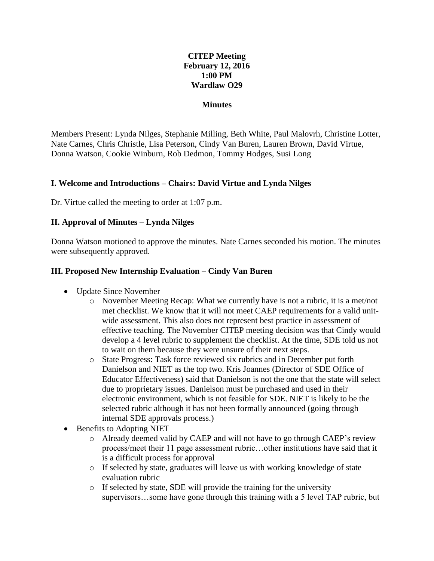## **CITEP Meeting February 12, 2016 1:00 PM Wardlaw O29**

#### **Minutes**

Members Present: Lynda Nilges, Stephanie Milling, Beth White, Paul Malovrh, Christine Lotter, Nate Carnes, Chris Christle, Lisa Peterson, Cindy Van Buren, Lauren Brown, David Virtue, Donna Watson, Cookie Winburn, Rob Dedmon, Tommy Hodges, Susi Long

### **I. Welcome and Introductions – Chairs: David Virtue and Lynda Nilges**

Dr. Virtue called the meeting to order at 1:07 p.m.

### **II. Approval of Minutes – Lynda Nilges**

Donna Watson motioned to approve the minutes. Nate Carnes seconded his motion. The minutes were subsequently approved.

### **III. Proposed New Internship Evaluation – Cindy Van Buren**

- Update Since November
	- o November Meeting Recap: What we currently have is not a rubric, it is a met/not met checklist. We know that it will not meet CAEP requirements for a valid unitwide assessment. This also does not represent best practice in assessment of effective teaching. The November CITEP meeting decision was that Cindy would develop a 4 level rubric to supplement the checklist. At the time, SDE told us not to wait on them because they were unsure of their next steps.
	- o State Progress: Task force reviewed six rubrics and in December put forth Danielson and NIET as the top two. Kris Joannes (Director of SDE Office of Educator Effectiveness) said that Danielson is not the one that the state will select due to proprietary issues. Danielson must be purchased and used in their electronic environment, which is not feasible for SDE. NIET is likely to be the selected rubric although it has not been formally announced (going through internal SDE approvals process.)
- Benefits to Adopting NIET
	- o Already deemed valid by CAEP and will not have to go through CAEP's review process/meet their 11 page assessment rubric…other institutions have said that it is a difficult process for approval
	- o If selected by state, graduates will leave us with working knowledge of state evaluation rubric
	- o If selected by state, SDE will provide the training for the university supervisors…some have gone through this training with a 5 level TAP rubric, but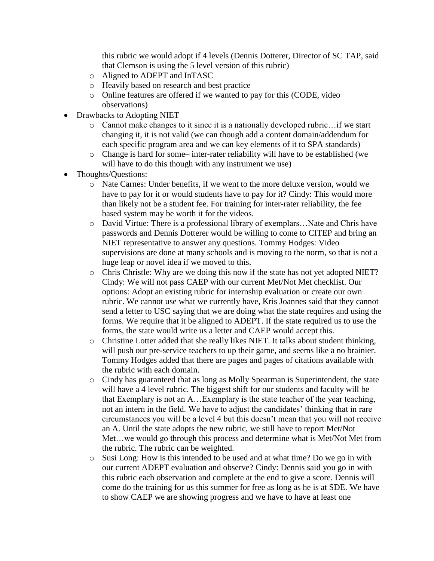this rubric we would adopt if 4 levels (Dennis Dotterer, Director of SC TAP, said that Clemson is using the 5 level version of this rubric)

- o Aligned to ADEPT and InTASC
- o Heavily based on research and best practice
- o Online features are offered if we wanted to pay for this (CODE, video observations)
- Drawbacks to Adopting NIET
	- o Cannot make changes to it since it is a nationally developed rubric…if we start changing it, it is not valid (we can though add a content domain/addendum for each specific program area and we can key elements of it to SPA standards)
	- o Change is hard for some– inter-rater reliability will have to be established (we will have to do this though with any instrument we use)
- Thoughts/Questions:
	- o Nate Carnes: Under benefits, if we went to the more deluxe version, would we have to pay for it or would students have to pay for it? Cindy: This would more than likely not be a student fee. For training for inter-rater reliability, the fee based system may be worth it for the videos.
	- o David Virtue: There is a professional library of exemplars…Nate and Chris have passwords and Dennis Dotterer would be willing to come to CITEP and bring an NIET representative to answer any questions. Tommy Hodges: Video supervisions are done at many schools and is moving to the norm, so that is not a huge leap or novel idea if we moved to this.
	- o Chris Christle: Why are we doing this now if the state has not yet adopted NIET? Cindy: We will not pass CAEP with our current Met/Not Met checklist. Our options: Adopt an existing rubric for internship evaluation or create our own rubric. We cannot use what we currently have, Kris Joannes said that they cannot send a letter to USC saying that we are doing what the state requires and using the forms. We require that it be aligned to ADEPT. If the state required us to use the forms, the state would write us a letter and CAEP would accept this.
	- o Christine Lotter added that she really likes NIET. It talks about student thinking, will push our pre-service teachers to up their game, and seems like a no brainier. Tommy Hodges added that there are pages and pages of citations available with the rubric with each domain.
	- o Cindy has guaranteed that as long as Molly Spearman is Superintendent, the state will have a 4 level rubric. The biggest shift for our students and faculty will be that Exemplary is not an A…Exemplary is the state teacher of the year teaching, not an intern in the field. We have to adjust the candidates' thinking that in rare circumstances you will be a level 4 but this doesn't mean that you will not receive an A. Until the state adopts the new rubric, we still have to report Met/Not Met…we would go through this process and determine what is Met/Not Met from the rubric. The rubric can be weighted.
	- o Susi Long: How is this intended to be used and at what time? Do we go in with our current ADEPT evaluation and observe? Cindy: Dennis said you go in with this rubric each observation and complete at the end to give a score. Dennis will come do the training for us this summer for free as long as he is at SDE. We have to show CAEP we are showing progress and we have to have at least one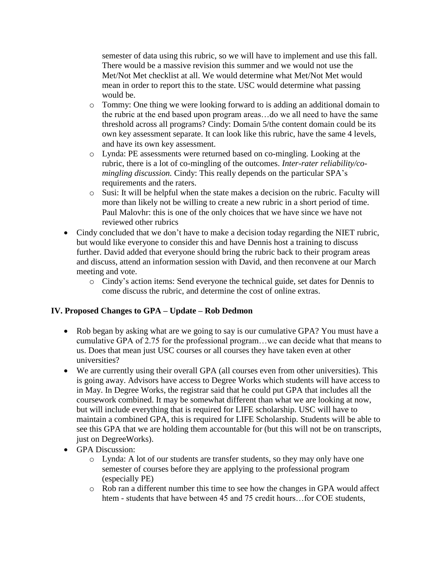semester of data using this rubric, so we will have to implement and use this fall. There would be a massive revision this summer and we would not use the Met/Not Met checklist at all. We would determine what Met/Not Met would mean in order to report this to the state. USC would determine what passing would be.

- o Tommy: One thing we were looking forward to is adding an additional domain to the rubric at the end based upon program areas…do we all need to have the same threshold across all programs? Cindy: Domain 5/the content domain could be its own key assessment separate. It can look like this rubric, have the same 4 levels, and have its own key assessment.
- o Lynda: PE assessments were returned based on co-mingling. Looking at the rubric, there is a lot of co-mingling of the outcomes. *Inter-rater reliability/comingling discussion.* Cindy: This really depends on the particular SPA's requirements and the raters.
- o Susi: It will be helpful when the state makes a decision on the rubric. Faculty will more than likely not be willing to create a new rubric in a short period of time. Paul Malovhr: this is one of the only choices that we have since we have not reviewed other rubrics
- Cindy concluded that we don't have to make a decision today regarding the NIET rubric, but would like everyone to consider this and have Dennis host a training to discuss further. David added that everyone should bring the rubric back to their program areas and discuss, attend an information session with David, and then reconvene at our March meeting and vote.
	- o Cindy's action items: Send everyone the technical guide, set dates for Dennis to come discuss the rubric, and determine the cost of online extras.

## **IV. Proposed Changes to GPA – Update – Rob Dedmon**

- Rob began by asking what are we going to say is our cumulative GPA? You must have a cumulative GPA of 2.75 for the professional program…we can decide what that means to us. Does that mean just USC courses or all courses they have taken even at other universities?
- We are currently using their overall GPA (all courses even from other universities). This is going away. Advisors have access to Degree Works which students will have access to in May. In Degree Works, the registrar said that he could put GPA that includes all the coursework combined. It may be somewhat different than what we are looking at now, but will include everything that is required for LIFE scholarship. USC will have to maintain a combined GPA, this is required for LIFE Scholarship. Students will be able to see this GPA that we are holding them accountable for (but this will not be on transcripts, just on DegreeWorks).
- **GPA** Discussion:
	- o Lynda: A lot of our students are transfer students, so they may only have one semester of courses before they are applying to the professional program (especially PE)
	- o Rob ran a different number this time to see how the changes in GPA would affect htem - students that have between 45 and 75 credit hours...for COE students,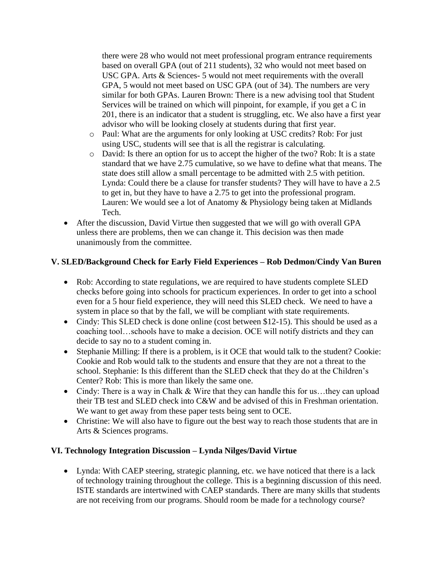there were 28 who would not meet professional program entrance requirements based on overall GPA (out of 211 students), 32 who would not meet based on USC GPA. Arts & Sciences- 5 would not meet requirements with the overall GPA, 5 would not meet based on USC GPA (out of 34). The numbers are very similar for both GPAs. Lauren Brown: There is a new advising tool that Student Services will be trained on which will pinpoint, for example, if you get a C in 201, there is an indicator that a student is struggling, etc. We also have a first year advisor who will be looking closely at students during that first year.

- o Paul: What are the arguments for only looking at USC credits? Rob: For just using USC, students will see that is all the registrar is calculating.
- o David: Is there an option for us to accept the higher of the two? Rob: It is a state standard that we have 2.75 cumulative, so we have to define what that means. The state does still allow a small percentage to be admitted with 2.5 with petition. Lynda: Could there be a clause for transfer students? They will have to have a 2.5 to get in, but they have to have a 2.75 to get into the professional program. Lauren: We would see a lot of Anatomy & Physiology being taken at Midlands Tech.
- After the discussion, David Virtue then suggested that we will go with overall GPA unless there are problems, then we can change it. This decision was then made unanimously from the committee.

## **V. SLED/Background Check for Early Field Experiences – Rob Dedmon/Cindy Van Buren**

- Rob: According to state regulations, we are required to have students complete SLED checks before going into schools for practicum experiences. In order to get into a school even for a 5 hour field experience, they will need this SLED check. We need to have a system in place so that by the fall, we will be compliant with state requirements.
- Cindy: This SLED check is done online (cost between \$12-15). This should be used as a coaching tool…schools have to make a decision. OCE will notify districts and they can decide to say no to a student coming in.
- Stephanie Milling: If there is a problem, is it OCE that would talk to the student? Cookie: Cookie and Rob would talk to the students and ensure that they are not a threat to the school. Stephanie: Is this different than the SLED check that they do at the Children's Center? Rob: This is more than likely the same one.
- Cindy: There is a way in Chalk & Wire that they can handle this for us...they can upload their TB test and SLED check into C&W and be advised of this in Freshman orientation. We want to get away from these paper tests being sent to OCE.
- Christine: We will also have to figure out the best way to reach those students that are in Arts & Sciences programs.

## **VI. Technology Integration Discussion – Lynda Nilges/David Virtue**

• Lynda: With CAEP steering, strategic planning, etc. we have noticed that there is a lack of technology training throughout the college. This is a beginning discussion of this need. ISTE standards are intertwined with CAEP standards. There are many skills that students are not receiving from our programs. Should room be made for a technology course?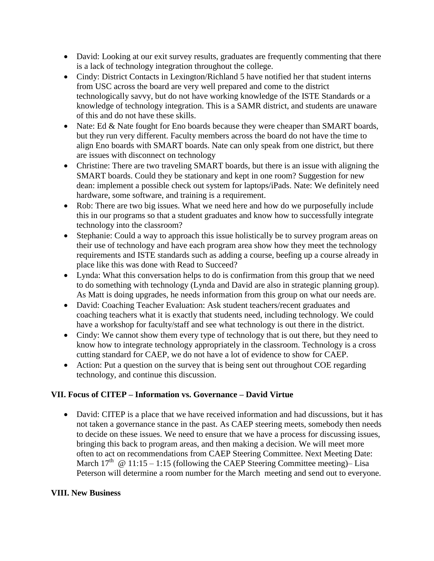- David: Looking at our exit survey results, graduates are frequently commenting that there is a lack of technology integration throughout the college.
- Cindy: District Contacts in Lexington/Richland 5 have notified her that student interns from USC across the board are very well prepared and come to the district technologically savvy, but do not have working knowledge of the ISTE Standards or a knowledge of technology integration. This is a SAMR district, and students are unaware of this and do not have these skills.
- Nate: Ed  $&$  Nate fought for Eno boards because they were cheaper than SMART boards, but they run very different. Faculty members across the board do not have the time to align Eno boards with SMART boards. Nate can only speak from one district, but there are issues with disconnect on technology
- Christine: There are two traveling SMART boards, but there is an issue with aligning the SMART boards. Could they be stationary and kept in one room? Suggestion for new dean: implement a possible check out system for laptops/iPads. Nate: We definitely need hardware, some software, and training is a requirement.
- Rob: There are two big issues. What we need here and how do we purposefully include this in our programs so that a student graduates and know how to successfully integrate technology into the classroom?
- Stephanie: Could a way to approach this issue holistically be to survey program areas on their use of technology and have each program area show how they meet the technology requirements and ISTE standards such as adding a course, beefing up a course already in place like this was done with Read to Succeed?
- Lynda: What this conversation helps to do is confirmation from this group that we need to do something with technology (Lynda and David are also in strategic planning group). As Matt is doing upgrades, he needs information from this group on what our needs are.
- David: Coaching Teacher Evaluation: Ask student teachers/recent graduates and coaching teachers what it is exactly that students need, including technology. We could have a workshop for faculty/staff and see what technology is out there in the district.
- Cindy: We cannot show them every type of technology that is out there, but they need to know how to integrate technology appropriately in the classroom. Technology is a cross cutting standard for CAEP, we do not have a lot of evidence to show for CAEP.
- Action: Put a question on the survey that is being sent out throughout COE regarding technology, and continue this discussion.

# **VII. Focus of CITEP – Information vs. Governance – David Virtue**

 David: CITEP is a place that we have received information and had discussions, but it has not taken a governance stance in the past. As CAEP steering meets, somebody then needs to decide on these issues. We need to ensure that we have a process for discussing issues, bringing this back to program areas, and then making a decision. We will meet more often to act on recommendations from CAEP Steering Committee. Next Meeting Date: March  $17^{th}$  @ 11:15 – 1:15 (following the CAEP Steering Committee meeting)– Lisa Peterson will determine a room number for the March meeting and send out to everyone.

## **VIII. New Business**